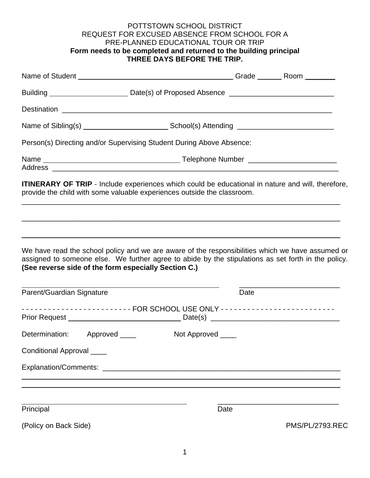## POTTSTOWN SCHOOL DISTRICT REQUEST FOR EXCUSED ABSENCE FROM SCHOOL FOR A PRE-PLANNED EDUCATIONAL TOUR OR TRIP **Form needs to be completed and returned to the building principal THREE DAYS BEFORE THE TRIP.**

| Building _______________________________Date(s) of Proposed Absence _______________________________                                                                                                                                                             |  |                   |                        |  |
|-----------------------------------------------------------------------------------------------------------------------------------------------------------------------------------------------------------------------------------------------------------------|--|-------------------|------------------------|--|
|                                                                                                                                                                                                                                                                 |  |                   |                        |  |
|                                                                                                                                                                                                                                                                 |  |                   |                        |  |
| Person(s) Directing and/or Supervising Student During Above Absence:                                                                                                                                                                                            |  |                   |                        |  |
|                                                                                                                                                                                                                                                                 |  |                   |                        |  |
| ITINERARY OF TRIP - Include experiences which could be educational in nature and will, therefore,<br>provide the child with some valuable experiences outside the classroom.                                                                                    |  |                   |                        |  |
| We have read the school policy and we are aware of the responsibilities which we have assumed or<br>assigned to someone else. We further agree to abide by the stipulations as set forth in the policy.<br>(See reverse side of the form especially Section C.) |  |                   |                        |  |
| Parent/Guardian Signature                                                                                                                                                                                                                                       |  |                   | Date                   |  |
| ------------------------- FOR SCHOOL USE ONLY --------------------------                                                                                                                                                                                        |  |                   |                        |  |
| Determination: Approved ____                                                                                                                                                                                                                                    |  | Not Approved ____ |                        |  |
| Conditional Approval ____                                                                                                                                                                                                                                       |  |                   |                        |  |
|                                                                                                                                                                                                                                                                 |  |                   |                        |  |
| Principal                                                                                                                                                                                                                                                       |  |                   | Date                   |  |
| (Policy on Back Side)                                                                                                                                                                                                                                           |  |                   | <b>PMS/PL/2793.REC</b> |  |